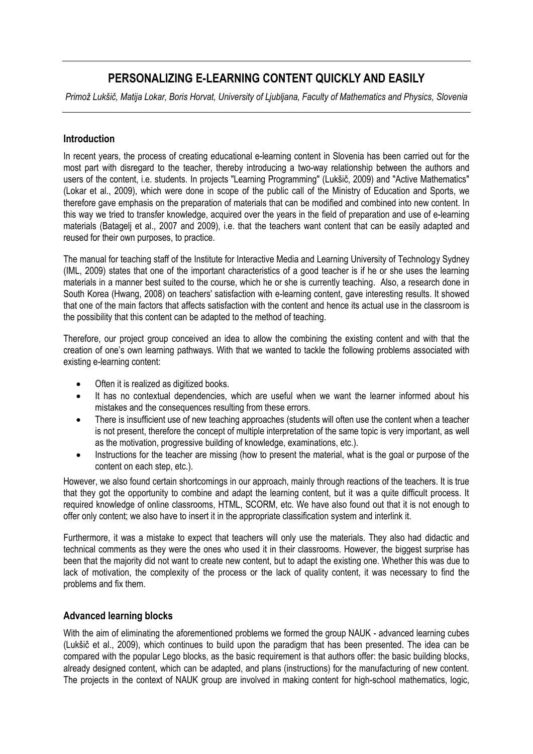# **PERSONALIZING E-LEARNING CONTENT QUICKLY AND EASILY**

*Primož Lukšič, Matija Lokar, Boris Horvat, University of Ljubljana, Faculty of Mathematics and Physics, Slovenia*

## **Introduction**

In recent years, the process of creating educational e-learning content in Slovenia has been carried out for the most part with disregard to the teacher, thereby introducing a two-way relationship between the authors and users of the content, i.e. students. In projects "Learning Programming" (Lukšič, 2009) and "Active Mathematics" (Lokar et al., 2009), which were done in scope of the public call of the Ministry of Education and Sports, we therefore gave emphasis on the preparation of materials that can be modified and combined into new content. In this way we tried to transfer knowledge, acquired over the years in the field of preparation and use of e-learning materials (Batagelj et al., 2007 and 2009), i.e. that the teachers want content that can be easily adapted and reused for their own purposes, to practice.

The manual for teaching staff of the Institute for Interactive Media and Learning University of Technology Sydney (IML, 2009) states that one of the important characteristics of a good teacher is if he or she uses the learning materials in a manner best suited to the course, which he or she is currently teaching. Also, a research done in South Korea (Hwang, 2008) on teachers' satisfaction with e-learning content, gave interesting results. It showed that one of the main factors that affects satisfaction with the content and hence its actual use in the classroom is the possibility that this content can be adapted to the method of teaching.

Therefore, our project group conceived an idea to allow the combining the existing content and with that the creation of one's own learning pathways. With that we wanted to tackle the following problems associated with existing e-learning content:

- Often it is realized as digitized books.
- It has no contextual dependencies, which are useful when we want the learner informed about his mistakes and the consequences resulting from these errors.
- There is insufficient use of new teaching approaches (students will often use the content when a teacher is not present, therefore the concept of multiple interpretation of the same topic is very important, as well as the motivation, progressive building of knowledge, examinations, etc.).
- Instructions for the teacher are missing (how to present the material, what is the goal or purpose of the content on each step, etc.).

However, we also found certain shortcomings in our approach, mainly through reactions of the teachers. It is true that they got the opportunity to combine and adapt the learning content, but it was a quite difficult process. It required knowledge of online classrooms, HTML, SCORM, etc. We have also found out that it is not enough to offer only content; we also have to insert it in the appropriate classification system and interlink it.

Furthermore, it was a mistake to expect that teachers will only use the materials. They also had didactic and technical comments as they were the ones who used it in their classrooms. However, the biggest surprise has been that the majority did not want to create new content, but to adapt the existing one. Whether this was due to lack of motivation, the complexity of the process or the lack of quality content, it was necessary to find the problems and fix them.

## **Advanced learning blocks**

With the aim of eliminating the aforementioned problems we formed the group NAUK - advanced learning cubes (Lukšič et al., 2009), which continues to build upon the paradigm that has been presented. The idea can be compared with the popular Lego blocks, as the basic requirement is that authors offer: the basic building blocks, already designed content, which can be adapted, and plans (instructions) for the manufacturing of new content. The projects in the context of NAUK group are involved in making content for high-school mathematics, logic,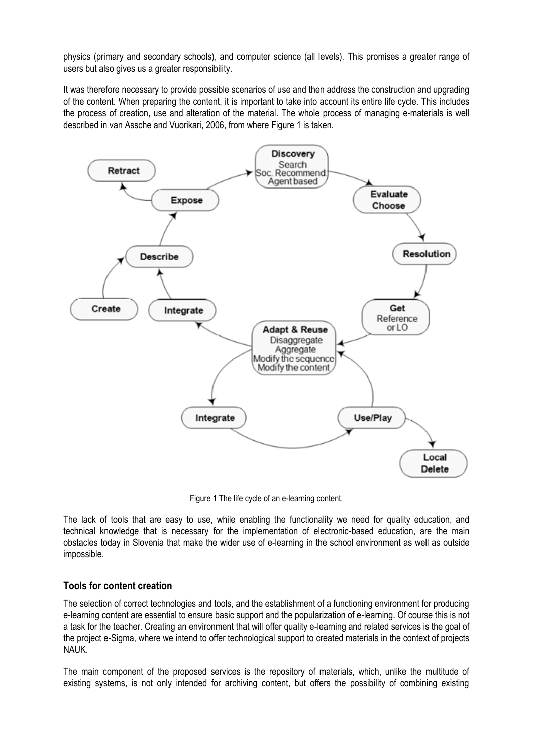physics (primary and secondary schools), and computer science (all levels). This promises a greater range of users but also gives us a greater responsibility.

It was therefore necessary to provide possible scenarios of use and then address the construction and upgrading of the content. When preparing the content, it is important to take into account its entire life cycle. This includes the process of creation, use and alteration of the material. The whole process of managing e-materials is well described in van Assche and Vuorikari, 2006, from where Figure 1 is taken.



Figure 1 The life cycle of an e-learning content.

The lack of tools that are easy to use, while enabling the functionality we need for quality education, and technical knowledge that is necessary for the implementation of electronic-based education, are the main obstacles today in Slovenia that make the wider use of e-learning in the school environment as well as outside impossible.

## **Tools for content creation**

The selection of correct technologies and tools, and the establishment of a functioning environment for producing e-learning content are essential to ensure basic support and the popularization of e-learning. Of course this is not a task for the teacher. Creating an environment that will offer quality e-learning and related services is the goal of the project e-Sigma, where we intend to offer technological support to created materials in the context of projects NAUK.

The main component of the proposed services is the repository of materials, which, unlike the multitude of existing systems, is not only intended for archiving content, but offers the possibility of combining existing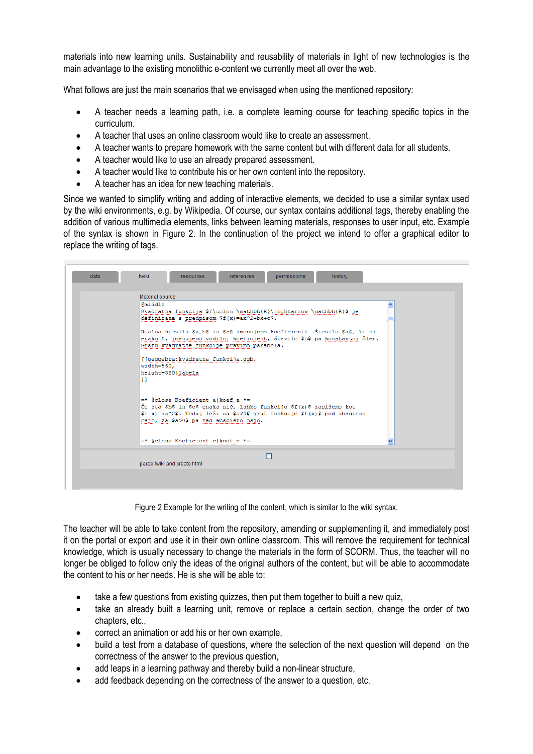materials into new learning units. Sustainability and reusability of materials in light of new technologies is the main advantage to the existing monolithic e-content we currently meet all over the web.

What follows are just the main scenarios that we envisaged when using the mentioned repository:

- A teacher needs a learning path, i.e. a complete learning course for teaching specific topics in the curriculum.
- A teacher that uses an online classroom would like to create an assessment.
- A teacher wants to prepare homework with the same content but with different data for all students.
- A teacher would like to use an already prepared assessment.
- A teacher would like to contribute his or her own content into the repository.
- A teacher has an idea for new teaching materials.

Since we wanted to simplify writing and adding of interactive elements, we decided to use a similar syntax used by the wiki environments, e.g. by Wikipedia. Of course, our syntax contains additional tags, thereby enabling the addition of various multimedia elements, links between learning materials, responses to user input, etc. Example of the syntax is shown in Figure 2. In the continuation of the project we intend to offer a graphical editor to replace the writing of tags.

| data                        | fwiki<br>references<br>history<br>permissions<br><b>resources</b>                                                                                                                                                               |  |  |  |  |  |
|-----------------------------|---------------------------------------------------------------------------------------------------------------------------------------------------------------------------------------------------------------------------------|--|--|--|--|--|
|                             | Material source                                                                                                                                                                                                                 |  |  |  |  |  |
|                             | Gmiddle<br>Kvadratna funkcija \$f\colon \mathbb{R}\rightarrow \mathbb{R}\$ je<br>definirana s predpisom $$f(x) = ax^2 + bx + c$$ .                                                                                              |  |  |  |  |  |
|                             | Realna števila \$a,b\$ in \$c\$ imenujemo koeficienti. Število \$a\$, ki ni<br>enako 0, imenujemo vodilni koeficient, število \$c\$ pa konstantni člen.<br>Grafu kvadratne funkcije pravimo parabola.                           |  |  |  |  |  |
|                             | [[geogebra: kvadratna funkcija.ggb,<br>width=560.<br>height=380 labela<br>11                                                                                                                                                    |  |  |  |  |  |
|                             | =* @close Koeficient alkoef a *=<br>Če sta \$b\$ in \$c\$ enaka nič, lahko funkcijo \$f(x)\$ zapišemo kot<br>\$f(x)=ax^2\$. Tedaj leži za \$a<0\$ graf funkcije \$f(x)\$ pod abscisno<br>osjo, za \$a>0\$ pa nad abscisno osjo. |  |  |  |  |  |
|                             | =* @close Koeficient c koef c *=                                                                                                                                                                                                |  |  |  |  |  |
| parse fwiki and create html |                                                                                                                                                                                                                                 |  |  |  |  |  |
|                             |                                                                                                                                                                                                                                 |  |  |  |  |  |

Figure 2 Example for the writing of the content, which is similar to the wiki syntax.

The teacher will be able to take content from the repository, amending or supplementing it, and immediately post it on the portal or export and use it in their own online classroom. This will remove the requirement for technical knowledge, which is usually necessary to change the materials in the form of SCORM. Thus, the teacher will no longer be obliged to follow only the ideas of the original authors of the content, but will be able to accommodate the content to his or her needs. He is she will be able to:

- take a few questions from existing quizzes, then put them together to built a new quiz,
- take an already built a learning unit, remove or replace a certain section, change the order of two chapters, etc.,
- correct an animation or add his or her own example,
- build a test from a database of questions, where the selection of the next question will depend on the correctness of the answer to the previous question,
- add leaps in a learning pathway and thereby build a non-linear structure,
- add feedback depending on the correctness of the answer to a question, etc.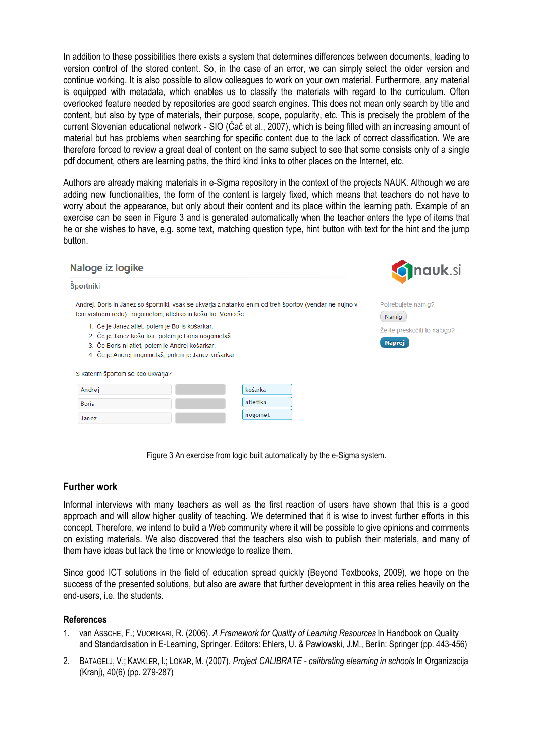In addition to these possibilities there exists a system that determines differences between documents, leading to version control of the stored content. So, in the case of an error, we can simply select the older version and continue working. It is also possible to allow colleagues to work on your own material. Furthermore, any material is equipped with metadata, which enables us to classify the materials with regard to the curriculum. Often overlooked feature needed by repositories are good search engines. This does not mean only search by title and content, but also by type of materials, their purpose, scope, popularity, etc. This is precisely the problem of the current Slovenian educational network - SIO (Čač et al., 2007), which is being filled with an increasing amount of material but has problems when searching for specific content due to the lack of correct classification. We are therefore forced to review a great deal of content on the same subject to see that some consists only of a single pdf document, others are learning paths, the third kind links to other places on the Internet, etc.

Authors are already making materials in e-Sigma repository in the context of the projects NAUK. Although we are adding new functionalities, the form of the content is largely fixed, which means that teachers do not have to worry about the appearance, but only about their content and its place within the learning path. Example of an exercise can be seen in Figure 3 and is generated automatically when the teacher enters the type of items that he or she wishes to have, e.g. some text, matching question type, hint button with text for the hint and the jump button.

### Naloge iz logike

#### Športniki

Andrej, Boris in Janez so športniki, vsak se ukvarja z natanko enim od treh športov (vendar ne nujno v tem vrstnem redu): nogometom, atletiko in košarko. Vemo še:

- 1. Če je Janez atlet, potem je Boris košarkar.
- 2. Če je Janez košarkar, potem je Boris nogometaš.
- 3. Če Boris ni atlet, potem je Andrej košarkar.
- 4. Če je Andrej nogometaš, potem je Janez košarkar.

|  |  |  |  |  | S katerim športom se kdo ukvarja? |
|--|--|--|--|--|-----------------------------------|
|--|--|--|--|--|-----------------------------------|

| Andrej       | košarka  |
|--------------|----------|
| <b>Boris</b> | atletika |
| Janez        | nogomet  |



Potrebuiete namig? Namig Želite preskočiti to nalogo? **Naprej** 

Figure 3 An exercise from logic built automatically by the e-Sigma system.

## **Further work**

Informal interviews with many teachers as well as the first reaction of users have shown that this is a good approach and will allow higher quality of teaching. We determined that it is wise to invest further efforts in this concept. Therefore, we intend to build a Web community where it will be possible to give opinions and comments on existing materials. We also discovered that the teachers also wish to publish their materials, and many of them have ideas but lack the time or knowledge to realize them.

Since good ICT solutions in the field of education spread quickly (Beyond Textbooks, 2009), we hope on the success of the presented solutions, but also are aware that further development in this area relies heavily on the end-users, i.e. the students.

#### **References**

- 1. van ASSCHE, F.; VUORIKARI, R. (2006). *A Framework for Quality of Learning Resources* In Handbook on Quality and Standardisation in E-Learning, Springer. Editors: Ehlers, U. & Pawlowski, J.M., Berlin: Springer (pp. 443-456)
- 2. BATAGELJ, V.; KAVKLER, I.; LOKAR, M. (2007). *Project CALIBRATE - calibrating elearning in schools* In Organizacija (Kranj), 40(6) (pp. 279-287)